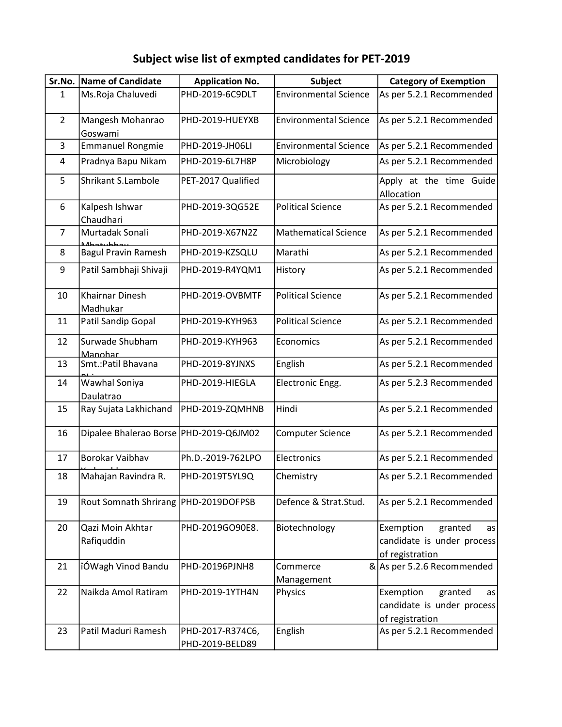## Subject wise list of exmpted candidates for PET-2019

| Sr.No.         | Name of Candidate                          | <b>Application No.</b>              | Subject                      | <b>Category of Exemption</b>                                                |
|----------------|--------------------------------------------|-------------------------------------|------------------------------|-----------------------------------------------------------------------------|
| $\mathbf{1}$   | Ms.Roja Chaluvedi                          | PHD-2019-6C9DLT                     | <b>Environmental Science</b> | As per 5.2.1 Recommended                                                    |
| $\overline{2}$ | Mangesh Mohanrao<br>Goswami                | PHD-2019-HUEYXB                     | <b>Environmental Science</b> | As per 5.2.1 Recommended                                                    |
| 3              | <b>Emmanuel Rongmie</b>                    | PHD-2019-JH06LI                     | <b>Environmental Science</b> | As per 5.2.1 Recommended                                                    |
| 4              | Pradnya Bapu Nikam                         | PHD-2019-6L7H8P                     | Microbiology                 | As per 5.2.1 Recommended                                                    |
| 5              | Shrikant S.Lambole                         | PET-2017 Qualified                  |                              | Apply at the time Guide<br>Allocation                                       |
| 6              | Kalpesh Ishwar<br>Chaudhari                | PHD-2019-3QG52E                     | <b>Political Science</b>     | As per 5.2.1 Recommended                                                    |
| $\overline{7}$ | Murtadak Sonali<br>يمططبن <del>ه</del> مطه | PHD-2019-X67N2Z                     | <b>Mathematical Science</b>  | As per 5.2.1 Recommended                                                    |
| 8              | <b>Bagul Pravin Ramesh</b>                 | PHD-2019-KZSQLU                     | Marathi                      | As per 5.2.1 Recommended                                                    |
| 9              | Patil Sambhaji Shivaji                     | PHD-2019-R4YQM1                     | History                      | As per 5.2.1 Recommended                                                    |
| 10             | <b>Khairnar Dinesh</b><br>Madhukar         | PHD-2019-OVBMTF                     | <b>Political Science</b>     | As per 5.2.1 Recommended                                                    |
| 11             | Patil Sandip Gopal                         | PHD-2019-KYH963                     | <b>Political Science</b>     | As per 5.2.1 Recommended                                                    |
| 12             | Surwade Shubham<br>Manohar                 | PHD-2019-KYH963                     | Economics                    | As per 5.2.1 Recommended                                                    |
| 13             | Smt.: Patil Bhavana                        | PHD-2019-8YJNXS                     | English                      | As per 5.2.1 Recommended                                                    |
| 14             | Wawhal Soniya<br>Daulatrao                 | PHD-2019-HIEGLA                     | Electronic Engg.             | As per 5.2.3 Recommended                                                    |
| 15             | Ray Sujata Lakhichand                      | PHD-2019-ZQMHNB                     | Hindi                        | As per 5.2.1 Recommended                                                    |
| 16             | Dipalee Bhalerao Borse   PHD-2019-Q6JM02   |                                     | <b>Computer Science</b>      | As per 5.2.1 Recommended                                                    |
| 17             | <b>Borokar Vaibhav</b>                     | Ph.D.-2019-762LPO                   | Electronics                  | As per 5.2.1 Recommended                                                    |
| 18             | Mahajan Ravindra R.                        | PHD-2019T5YL9Q                      | Chemistry                    | As per 5.2.1 Recommended                                                    |
| 19             | Rout Somnath Shrirang   PHD-2019DOFPSB     |                                     | Defence & Strat.Stud.        | As per 5.2.1 Recommended                                                    |
| 20             | Qazi Moin Akhtar<br>Rafiquddin             | PHD-2019GO90E8.                     | Biotechnology                | Exemption<br>granted<br>as<br>candidate is under process<br>of registration |
| 21             | îÓWagh Vinod Bandu                         | PHD-20196PJNH8                      | Commerce                     | & As per 5.2.6 Recommended                                                  |
| 22             | Naikda Amol Ratiram                        | PHD-2019-1YTH4N                     | Management<br>Physics        | Exemption<br>granted<br>as<br>candidate is under process<br>of registration |
| 23             | Patil Maduri Ramesh                        | PHD-2017-R374C6,<br>PHD-2019-BELD89 | English                      | As per 5.2.1 Recommended                                                    |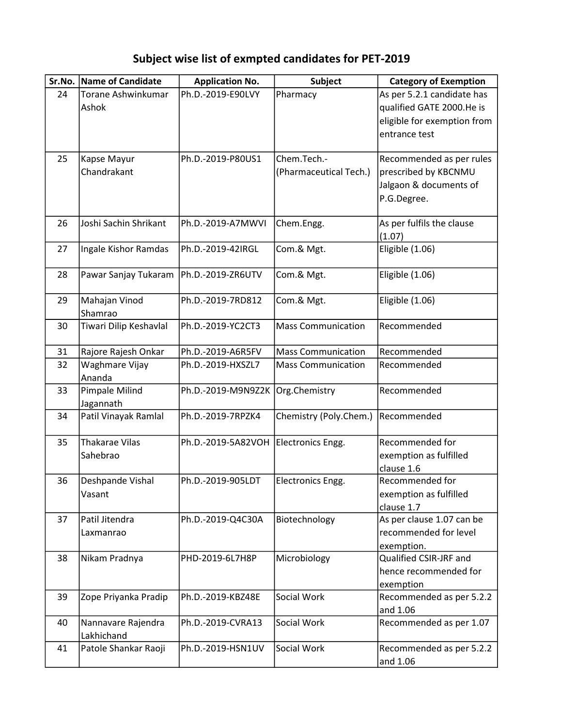## Subject wise list of exmpted candidates for PET-2019

| Sr.No. | Name of Candidate                 | <b>Application No.</b>           | <b>Subject</b>                        | <b>Category of Exemption</b>                                                                            |
|--------|-----------------------------------|----------------------------------|---------------------------------------|---------------------------------------------------------------------------------------------------------|
| 24     | Torane Ashwinkumar<br>Ashok       | Ph.D.-2019-E90LVY                | Pharmacy                              | As per 5.2.1 candidate has<br>qualified GATE 2000.He is<br>eligible for exemption from<br>entrance test |
| 25     | Kapse Mayur<br>Chandrakant        | Ph.D.-2019-P80US1                | Chem.Tech.-<br>(Pharmaceutical Tech.) | Recommended as per rules<br>prescribed by KBCNMU<br>Jalgaon & documents of<br>P.G.Degree.               |
| 26     | Joshi Sachin Shrikant             | Ph.D.-2019-A7MWVI                | Chem.Engg.                            | As per fulfils the clause<br>(1.07)                                                                     |
| 27     | Ingale Kishor Ramdas              | Ph.D.-2019-42IRGL                | Com.& Mgt.                            | Eligible (1.06)                                                                                         |
| 28     | Pawar Sanjay Tukaram              | Ph.D.-2019-ZR6UTV                | Com.& Mgt.                            | Eligible (1.06)                                                                                         |
| 29     | Mahajan Vinod<br>Shamrao          | Ph.D.-2019-7RD812                | Com.& Mgt.                            | Eligible (1.06)                                                                                         |
| 30     | Tiwari Dilip Keshavlal            | Ph.D.-2019-YC2CT3                | <b>Mass Communication</b>             | Recommended                                                                                             |
| 31     | Rajore Rajesh Onkar               | Ph.D.-2019-A6R5FV                | <b>Mass Communication</b>             | Recommended                                                                                             |
| 32     | Waghmare Vijay<br>Ananda          | Ph.D.-2019-HXSZL7                | <b>Mass Communication</b>             | Recommended                                                                                             |
| 33     | Pimpale Milind<br>Jagannath       | Ph.D.-2019-M9N9Z2K Org.Chemistry |                                       | Recommended                                                                                             |
| 34     | Patil Vinayak Ramlal              | Ph.D.-2019-7RPZK4                | Chemistry (Poly.Chem.)                | Recommended                                                                                             |
| 35     | <b>Thakarae Vilas</b><br>Sahebrao | Ph.D.-2019-5A82VOH               | Electronics Engg.                     | Recommended for<br>exemption as fulfilled<br>clause 1.6                                                 |
| 36     | Deshpande Vishal<br>Vasant        | Ph.D.-2019-905LDT                | Electronics Engg.                     | Recommended for<br>exemption as fulfilled<br>clause 1.7                                                 |
| 37     | Patil Jitendra<br>Laxmanrao       | Ph.D.-2019-Q4C30A                | Biotechnology                         | As per clause 1.07 can be<br>recommended for level<br>exemption.                                        |
| 38     | Nikam Pradnya                     | PHD-2019-6L7H8P                  | Microbiology                          | Qualified CSIR-JRF and<br>hence recommended for<br>exemption                                            |
| 39     | Zope Priyanka Pradip              | Ph.D.-2019-KBZ48E                | Social Work                           | Recommended as per 5.2.2<br>and 1.06                                                                    |
| 40     | Nannavare Rajendra<br>Lakhichand  | Ph.D.-2019-CVRA13                | Social Work                           | Recommended as per 1.07                                                                                 |
| 41     | Patole Shankar Raoji              | Ph.D.-2019-HSN1UV                | Social Work                           | Recommended as per 5.2.2<br>and 1.06                                                                    |